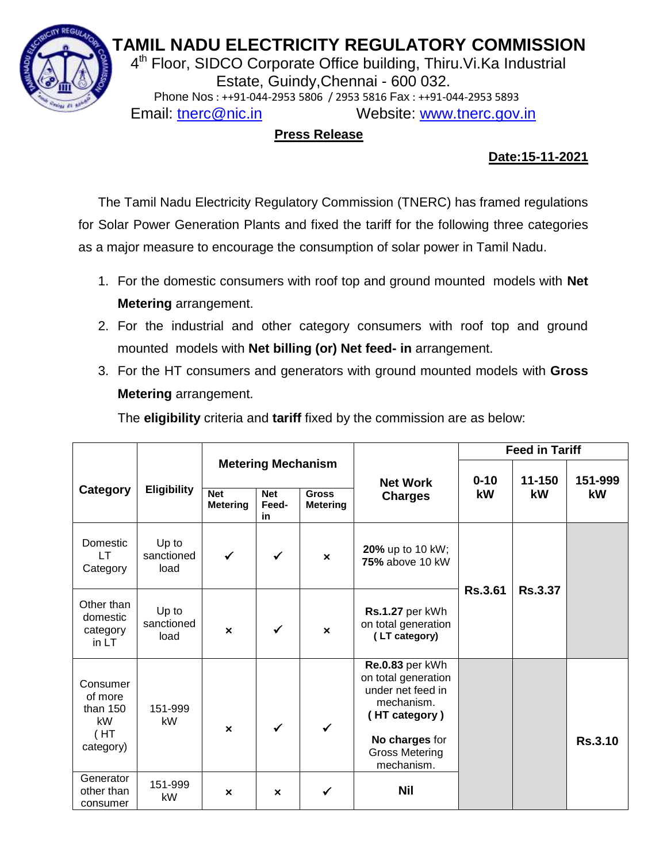# **TAMIL NADU ELECTRICITY REGULATORY COMMISSION**



 $\frac{2}{3}$  4<sup>th</sup> Floor, SIDCO Corporate Office building, Thiru. Vi. Ka Industrial Estate, Guindy,Chennai - 600 032. Phone Nos : ++91-044-2953 5806 / 2953 5816 Fax : ++91-044-2953 5893 Email: [tnerc@nic.in](mailto:tnerc@nic.in) Website: [www.tnerc.gov.in](http://www.tnerc.gov.in/)

# **Press Release**

# **Date:15-11-2021**

The Tamil Nadu Electricity Regulatory Commission (TNERC) has framed regulations for Solar Power Generation Plants and fixed the tariff for the following three categories as a major measure to encourage the consumption of solar power in Tamil Nadu.

- 1. For the domestic consumers with roof top and ground mounted models with **Net Metering** arrangement.
- 2. For the industrial and other category consumers with roof top and ground mounted models with **Net billing (or) Net feed- in** arrangement.
- 3. For the HT consumers and generators with ground mounted models with **Gross Metering** arrangement.

The **eligibility** criteria and **tariff** fixed by the commission are as below:

|                                                              |                             |                               |                                                        |                                 |                                                                                                                                                     | <b>Feed in Tariff</b> |                |                |
|--------------------------------------------------------------|-----------------------------|-------------------------------|--------------------------------------------------------|---------------------------------|-----------------------------------------------------------------------------------------------------------------------------------------------------|-----------------------|----------------|----------------|
| Category                                                     | <b>Eligibility</b>          | <b>Net</b><br><b>Metering</b> | <b>Metering Mechanism</b><br><b>Net</b><br>Feed-<br>in | <b>Gross</b><br><b>Metering</b> | <b>Net Work</b><br><b>Charges</b>                                                                                                                   | $0 - 10$<br>kW        | 11-150<br>kW   | 151-999<br>kW  |
| Domestic<br>LT.<br>Category                                  | Up to<br>sanctioned<br>load | $\checkmark$                  | $\checkmark$                                           | $\boldsymbol{\mathsf{x}}$       | <b>20%</b> up to 10 kW;<br>75% above 10 kW                                                                                                          |                       |                |                |
| Other than<br>domestic<br>category<br>in LT                  | Up to<br>sanctioned<br>load | $\boldsymbol{\mathsf{x}}$     | $\checkmark$                                           | $\boldsymbol{\mathsf{x}}$       | Rs.1.27 per kWh<br>on total generation<br>(LT category)                                                                                             | <b>Rs.3.61</b>        | <b>Rs.3.37</b> |                |
| Consumer<br>of more<br>than $150$<br>kW<br>(HT)<br>category) | 151-999<br>kW               | $\boldsymbol{\mathsf{x}}$     | $\checkmark$                                           | $\checkmark$                    | Re.0.83 per kWh<br>on total generation<br>under net feed in<br>mechanism.<br>(HT category)<br>No charges for<br><b>Gross Metering</b><br>mechanism. |                       |                | <b>Rs.3.10</b> |
| Generator<br>other than<br>consumer                          | 151-999<br>kW               | $\boldsymbol{\mathsf{x}}$     | $\boldsymbol{\mathsf{x}}$                              | ✓                               | <b>Nil</b>                                                                                                                                          |                       |                |                |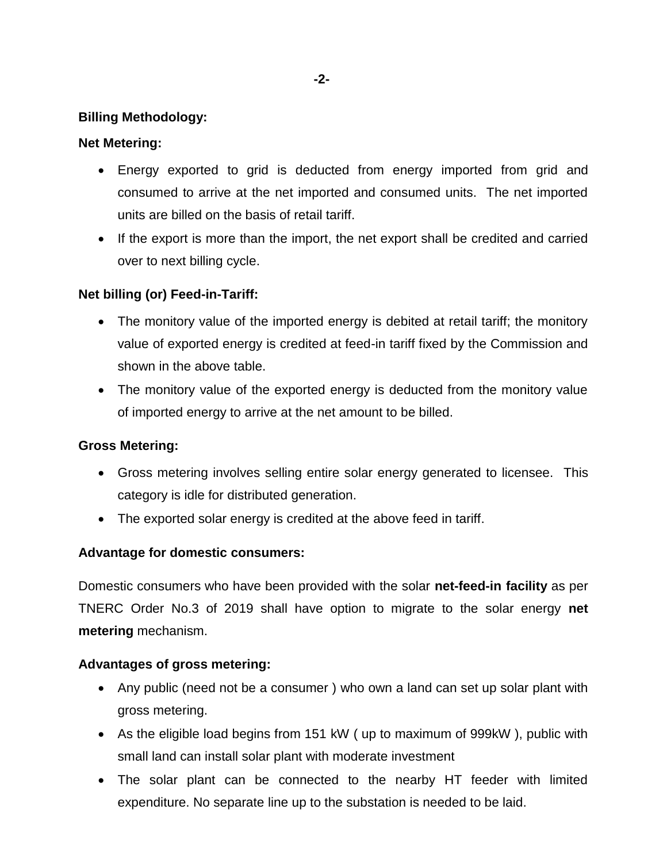## **Billing Methodology:**

## **Net Metering:**

- Energy exported to grid is deducted from energy imported from grid and consumed to arrive at the net imported and consumed units. The net imported units are billed on the basis of retail tariff.
- If the export is more than the import, the net export shall be credited and carried over to next billing cycle.

# **Net billing (or) Feed-in-Tariff:**

- The monitory value of the imported energy is debited at retail tariff; the monitory value of exported energy is credited at feed-in tariff fixed by the Commission and shown in the above table.
- The monitory value of the exported energy is deducted from the monitory value of imported energy to arrive at the net amount to be billed.

#### **Gross Metering:**

- Gross metering involves selling entire solar energy generated to licensee. This category is idle for distributed generation.
- The exported solar energy is credited at the above feed in tariff.

# **Advantage for domestic consumers:**

Domestic consumers who have been provided with the solar **net-feed-in facility** as per TNERC Order No.3 of 2019 shall have option to migrate to the solar energy **net metering** mechanism.

#### **Advantages of gross metering:**

- Any public (need not be a consumer ) who own a land can set up solar plant with gross metering.
- As the eligible load begins from 151 kW ( up to maximum of 999kW ), public with small land can install solar plant with moderate investment
- The solar plant can be connected to the nearby HT feeder with limited expenditure. No separate line up to the substation is needed to be laid.